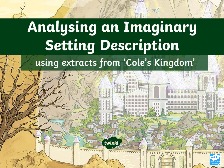#### using extracts from 'Cole's Kingdom'

twinkl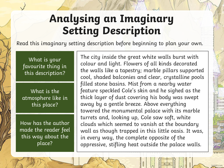Read this imaginary setting description before beginning to plan your own.

What is your favourite thing in this description?

What is the atmosphere like in this place?

How has the author made the reader feel this way about the place?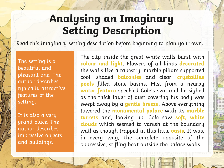Read this imaginary setting description before beginning to plan your own.

The setting is a beautiful and pleasant one. The author describes typically attractive features of the setting.

It is also a very grand place. The author describes impressive objects and buildings.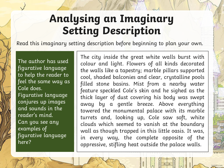Read this imaginary setting description before beginning to plan your own.

The author has used figurative language to help the reader to feel the same way as Cole does. Figurative language conjures up images and sounds in the reader's mind. Can you see any examples of figurative language here?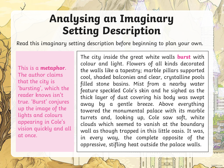Read this imaginary setting description before beginning to plan your own.

This is a **metaphor**. The author claims that the city is 'bursting', which the reader knows isn't true. 'Burst' conjures up the image of the lights and colours appearing in Cole's vision quickly and all at once.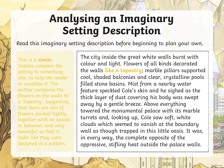Read this imaginary setting description before beginning to plan your own.

This is a **simile**. Similes compare the setting to something else, to help the reader to visualise it. The author compares the flowers on the walls to a 'tapestry', suggesting that there are lots of flowers packed tightly together with no spaces in between, and very beautiful so that it looks like they were designed in a pattern.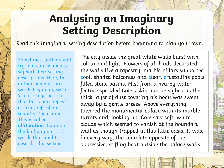Read this imaginary setting description before beginning to plan your own.

Sometimes, authors will try to create sounds to support their setting descriptions. Here, the author has put three words beginning with 'c' close together, so that the reader repeats a clean, refreshing 'c' sound in their mind. This is called **alliteration**. Can you think of any more 'c' words that might describe this setting?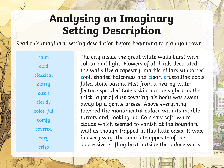Read this imaginary setting description before beginning to plan your own.

calm clad classical classy clean cloudy colourful comfy covered cozy crisp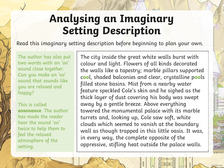Read this imaginary setting description before beginning to plan your own.

The author has also put two words with an 'oo' sound close together. Can you make an 'oo' sound that sounds like you are relaxed and happy?

This is called **assonance**. The author has made the reader hear the sound 'oo' twice to help them to feel the relaxed atmosphere of the setting.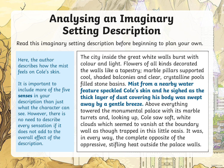Read this imaginary setting description before beginning to plan your own.

Here, the author describes how the mist feels on Cole's skin.

It is important to include more of the five **senses** in your description than just what the character can see. However, there is no need to describe every sensation if it does not add to the overall effect of the description.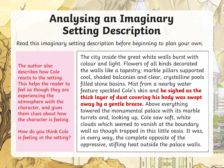Read this imaginary setting description before beginning to plan your own.

The author also describes how Cole reacts to the setting. This helps the reader to feel as though they are experiencing the atmosphere with the character, and gives them clues about how the character is feeling.

How do you think Cole is feeling in the setting?